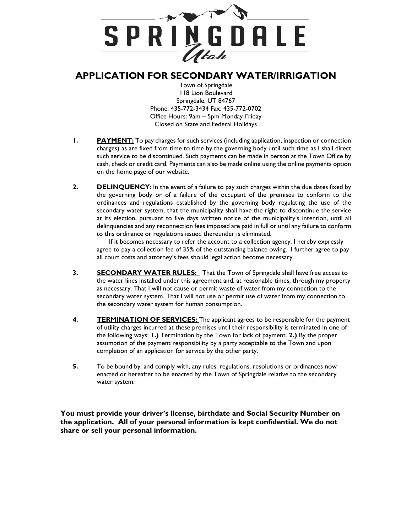

## **APPLICATION FOR SECONDARY WATER/IRRIGATION**

 Town of Springdale 118 Lion Boulevard Springdale, UT 84767 Phone: 435-772-3434 Fax: 435-772-0702 Office Hours: 9am – 5pm Monday-Friday Closed on State and Federal Holidays

- **1. PAYMENT:** To pay charges for such services (including application, inspection or connection charges) as are fixed from time to time by the governing body until such time as I shall direct such service to be discontinued. Such payments can be made in person at the Town Office by cash, check or credit card. Payments can also be made online using the online payments option on the home page of our website.
- **2. DELINQUENCY**: In the event of a failure to pay such charges within the due dates fixed by the governing body or of a failure of the occupant of the premises to conform to the ordinances and regulations established by the governing body regulating the use of the secondary water system, that the municipality shall have the right to discontinue the service at its election, pursuant to five days written notice of the municipality's intention, until all delinquencies and any reconnection fees imposed are paid in full or until any failure to conform to this ordinance or regulations issued thereunder is eliminated.

If it becomes necessary to refer the account to a collection agency, I hereby expressly agree to pay a collection fee of 35% of the outstanding balance owing. I further agree to pay all court costs and attorney's fees should legal action become necessary.

- **3. SECONDARY WATER RULES:** That the Town of Springdale shall have free access to the water lines installed under this agreement and, at reasonable times, through my property as necessary. That I will not cause or permit waste of water from my connection to the secondary water system. That I will not use or permit use of water from my connection to the secondary water system for human consumption.
- **4. TERMINATION OF SERVICES:** The applicant agrees to be responsible for the payment of utility charges incurred at these premises until their responsibility is terminated in one of the following ways: **1.)** Termination by the Town for lack of payment. **2.)** By the proper assumption of the payment responsibility by a party acceptable to the Town and upon completion of an application for service by the other party.
- **5.** To be bound by, and comply with, any rules, regulations, resolutions or ordinances now enacted or hereafter to be enacted by the Town of Springdale relative to the secondary water system.

**You must provide your driver's license, birthdate and Social Security Number on the application. All of your personal information is kept confidential. We do not share or sell your personal information.**